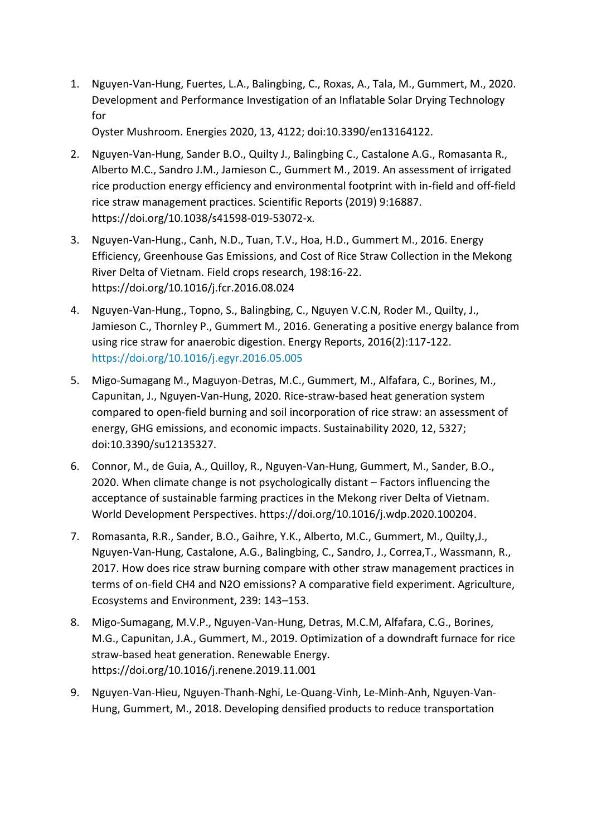1. Nguyen-Van-Hung, Fuertes, L.A., Balingbing, C., Roxas, A., Tala, M., Gummert, M., 2020. Development and Performance Investigation of an Inflatable Solar Drying Technology for

Oyster Mushroom. Energies 2020, 13, 4122; doi:10.3390/en13164122.

- 2. Nguyen-Van-Hung, Sander B.O., Quilty J., Balingbing C., Castalone A.G., Romasanta R., Alberto M.C., Sandro J.M., Jamieson C., Gummert M., 2019. An assessment of irrigated rice production energy efficiency and environmental footprint with in-field and off-field rice straw management practices. Scientific Reports (2019) 9:16887. https://doi.org/10.1038/s41598-019-53072-x.
- 3. Nguyen-Van-Hung., Canh, N.D., Tuan, T.V., Hoa, H.D., Gummert M., 2016. Energy Efficiency, Greenhouse Gas Emissions, and Cost of Rice Straw Collection in the Mekong River Delta of Vietnam. Field crops research, 198:16-22. https://doi.org/10.1016/j.fcr.2016.08.024
- 4. Nguyen-Van-Hung., Topno, S., Balingbing, C., Nguyen V.C.N, Roder M., Quilty, J., Jamieson C., Thornley P., Gummert M., 2016. Generating a positive energy balance from using rice straw for anaerobic digestion. Energy Reports, 2016(2):117-122. <https://doi.org/10.1016/j.egyr.2016.05.005>
- 5. Migo-Sumagang M., Maguyon-Detras, M.C., Gummert, M., Alfafara, C., Borines, M., Capunitan, J., Nguyen-Van-Hung, 2020. Rice-straw-based heat generation system compared to open-field burning and soil incorporation of rice straw: an assessment of energy, GHG emissions, and economic impacts. Sustainability 2020, 12, 5327; doi:10.3390/su12135327.
- 6. Connor, M., de Guia, A., Quilloy, R., Nguyen-Van-Hung, Gummert, M., Sander, B.O., 2020. When climate change is not psychologically distant – Factors influencing the acceptance of sustainable farming practices in the Mekong river Delta of Vietnam. [World Development Perspectives.](https://www.sciencedirect.com/science/journal/24522929) [https://doi.org/10.1016/j.wdp.2020.100204.](https://doi.org/10.1016/j.wdp.2020.100204)
- 7. Romasanta, R.R., Sander, B.O., Gaihre, Y.K., Alberto, M.C., Gummert, M., Quilty,J., Nguyen-Van-Hung, Castalone, A.G., Balingbing, C., Sandro, J., Correa,T., Wassmann, R., 2017. How does rice straw burning compare with other straw management practices in terms of on-field CH4 and N2O emissions? A comparative field experiment. Agriculture, Ecosystems and Environment, 239: 143–153.
- 8. Migo-Sumagang, M.V.P., Nguyen-Van-Hung, Detras, M.C.M, Alfafara, C.G., Borines, M.G., Capunitan, J.A., Gummert, M., 2019. Optimization of a downdraft furnace for rice straw-based heat generation. Renewable Energy. <https://doi.org/10.1016/j.renene.2019.11.001>
- 9. Nguyen-Van-Hieu, Nguyen-Thanh-Nghi, Le-Quang-Vinh, Le-Minh-Anh, Nguyen-Van-Hung, Gummert, M., 2018. Developing densified products to reduce transportation